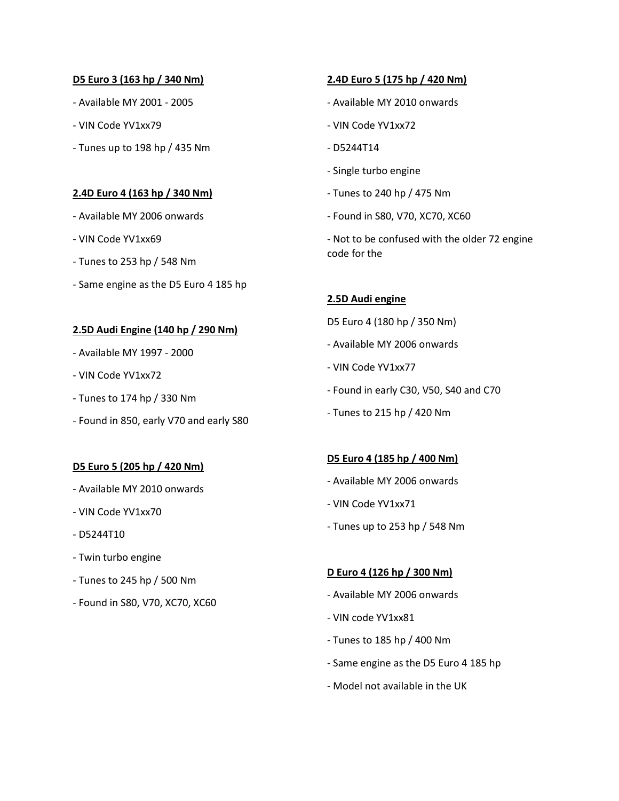# **D5 Euro 3 (163 hp / 340 Nm)**

- Available MY 2001 2005
- VIN Code YV1xx79
- Tunes up to 198 hp / 435 Nm

# **2.4D Euro 4 (163 hp / 340 Nm)**

- Available MY 2006 onwards
- VIN Code YV1xx69
- Tunes to 253 hp / 548 Nm
- Same engine as the D5 Euro 4 185 hp

# **2.5D Audi Engine (140 hp / 290 Nm)**

- Available MY 1997 2000
- VIN Code YV1xx72
- Tunes to 174 hp / 330 Nm
- Found in 850, early V70 and early S80

#### **D5 Euro 5 (205 hp / 420 Nm)**

- Available MY 2010 onwards
- VIN Code YV1xx70
- D5244T10
- Twin turbo engine
- Tunes to 245 hp / 500 Nm
- Found in S80, V70, XC70, XC60

# **2.4D Euro 5 (175 hp / 420 Nm)**

- Available MY 2010 onwards
- VIN Code YV1xx72
- D5244T14
- Single turbo engine
- Tunes to 240 hp / 475 Nm
- Found in S80, V70, XC70, XC60
- Not to be confused with the older 72 engine code for the

# **2.5D Audi engine**

- D5 Euro 4 (180 hp / 350 Nm)
- Available MY 2006 onwards
- VIN Code YV1xx77
- Found in early C30, V50, S40 and C70
- Tunes to 215 hp / 420 Nm

#### **D5 Euro 4 (185 hp / 400 Nm)**

- Available MY 2006 onwards
- VIN Code YV1xx71
- Tunes up to 253 hp / 548 Nm

#### **D Euro 4 (126 hp / 300 Nm)**

- Available MY 2006 onwards
- VIN code YV1xx81
- Tunes to 185 hp / 400 Nm
- Same engine as the D5 Euro 4 185 hp
- Model not available in the UK